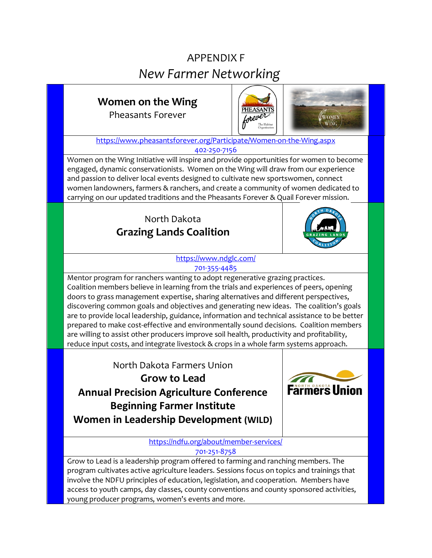# APPENDIX F *New Farmer Networking*

## **Women on the Wing**

Pheasants Forever



<https://www.pheasantsforever.org/Participate/Women-on-the-Wing.aspx> 402-250-7156

Women on the Wing Initiative will inspire and provide opportunities for women to become engaged, dynamic conservationists. Women on the Wing will draw from our experience and passion to deliver local events designed to cultivate new sportswomen, connect women landowners, farmers & ranchers, and create a community of women dedicated to carrying on our updated traditions and the Pheasants Forever & Quail Forever mission.

### North Dakota **Grazing Lands Coalition**



<https://www.ndglc.com/> 701-355-4485

Mentor program for ranchers wanting to adopt regenerative grazing practices. Coalition members believe in learning from the trials and experiences of peers, opening doors to grass management expertise, sharing alternatives and different perspectives, discovering common goals and objectives and generating new ideas. The coalition's goals are to provide local leadership, guidance, information and technical assistance to be better prepared to make cost-effective and environmentally sound decisions. Coalition members are willing to assist other producers improve soil health, productivity and profitability, reduce input costs, and integrate livestock & crops in a whole farm systems approach.

North Dakota Farmers Union **Grow to Lead Annual Precision Agriculture Conference Beginning Farmer Institute Women in Leadership Development (WILD)**



<https://ndfu.org/about/member-services/> 701-251-8758

Grow to Lead is a leadership program offered to farming and ranching members. The program cultivates active agriculture leaders. Sessions focus on topics and trainings that involve the NDFU principles of education, legislation, and cooperation. Members have access to youth camps, day classes, county conventions and county sponsored activities, young producer programs, women's events and more.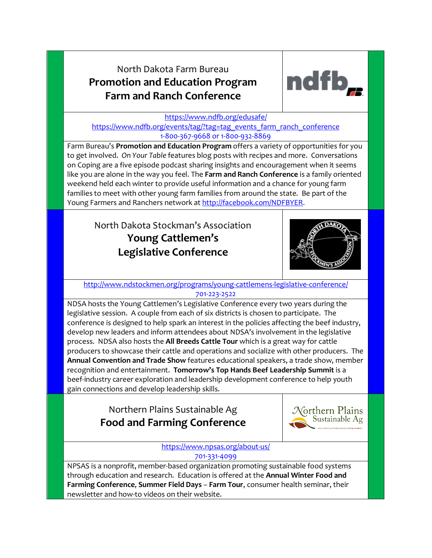### North Dakota Farm Bureau **Promotion and Education Program Farm and Ranch Conference**



#### <https://www.ndfb.org/edusafe/> [https://www.ndfb.org/events/tag/?tag=tag\\_events\\_farm\\_ranch\\_conference](https://www.ndfb.org/events/tag/?tag=tag_events_farm_ranch_conference) 1-800-367-9668 or 1-800-932-8869

Farm Bureau's **Promotion and Education Program** offers a variety of opportunities for you to get involved. *On Your Table* features blog posts with recipes and more. Conversations on Coping are a five episode podcast sharing insights and encouragement when it seems like you are alone in the way you feel. The **Farm and Ranch Conference** is a family oriented weekend held each winter to provide useful information and a chance for young farm families to meet with other young farm families from around the state. Be part of the Young Farmers and Ranchers network at [http://facebook.com/NDFBYER.](http://facebook.com/NDFBYER)

North Dakota Stockman's Association **Young Cattlemen's Legislative Conference**



<http://www.ndstockmen.org/programs/young-cattlemens-legislative-conference/> 701-223-2522

NDSA hosts the Young Cattlemen's Legislative Conference every two years during the legislative session. A couple from each of six districts is chosen to participate. The conference is designed to help spark an interest in the policies affecting the beef industry, develop new leaders and inform attendees about NDSA's involvement in the legislative process. NDSA also hosts the **All Breeds Cattle Tour** which is a great way for cattle producers to showcase their cattle and operations and socialize with other producers. The **Annual Convention and Trade Show** features educational speakers, a trade show, member recognition and entertainment. **Tomorrow's Top Hands Beef Leadership Summit** is a beef-industry career exploration and leadership development conference to help youth gain connections and develop leadership skills.

### Northern Plains Sustainable Ag **Food and Farming Conference**



<https://www.npsas.org/about-us/> 701-331-4099

NPSAS is a nonprofit, member-based organization promoting sustainable food systems through education and research. Education is offered at the **Annual Winter Food and Farming Conference**, **Summer Field Days** – **Farm Tour**, consumer health seminar, their newsletter and how-to videos on their website.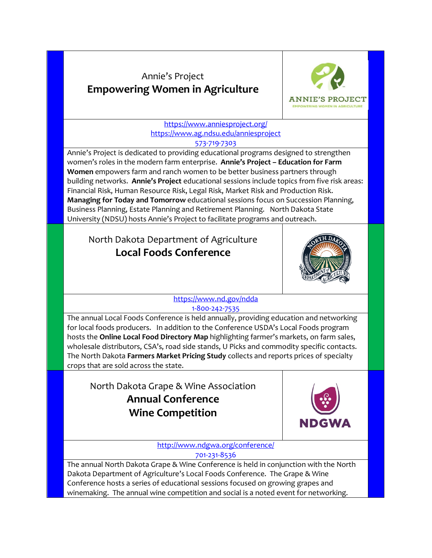### Annie's Project **Empowering Women in Agriculture**



<https://www.anniesproject.org/> <https://www.ag.ndsu.edu/anniesproject> 573-719-7303

Annie's Project is dedicated to providing educational programs designed to strengthen women's roles in the modern farm enterprise. **Annie's Project – Education for Farm Women** empowers farm and ranch women to be better business partners through building networks. **Annie's Project** educational sessions include topics from five risk areas: Financial Risk, Human Resource Risk, Legal Risk, Market Risk and Production Risk. **Managing for Today and Tomorrow** educational sessions focus on Succession Planning, Business Planning, Estate Planning and Retirement Planning. North Dakota State University (NDSU) hosts Annie's Project to facilitate programs and outreach.

### North Dakota Department of Agriculture **Local Foods Conference**



[https://www.nd.gov/ndda](https://www.nd.gov/ndda/events) 1-800-242-7535

The annual Local Foods Conference is held annually, providing education and networking for local foods producers. In addition to the Conference USDA's Local Foods program hosts the **Online Local Food Directory Map** highlighting farmer's markets, on farm sales, wholesale distributors, CSA's, road side stands, U Picks and commodity specific contacts. The North Dakota **Farmers Market Pricing Study** collects and reports prices of specialty crops that are sold across the state.

North Dakota Grape & Wine Association **Annual Conference Wine Competition**



<http://www.ndgwa.org/conference/> 701-231-8536

The annual North Dakota Grape & Wine Conference is held in conjunction with the North Dakota Department of Agriculture's Local Foods Conference. The Grape & Wine Conference hosts a series of educational sessions focused on growing grapes and winemaking. The annual wine competition and social is a noted event for networking.